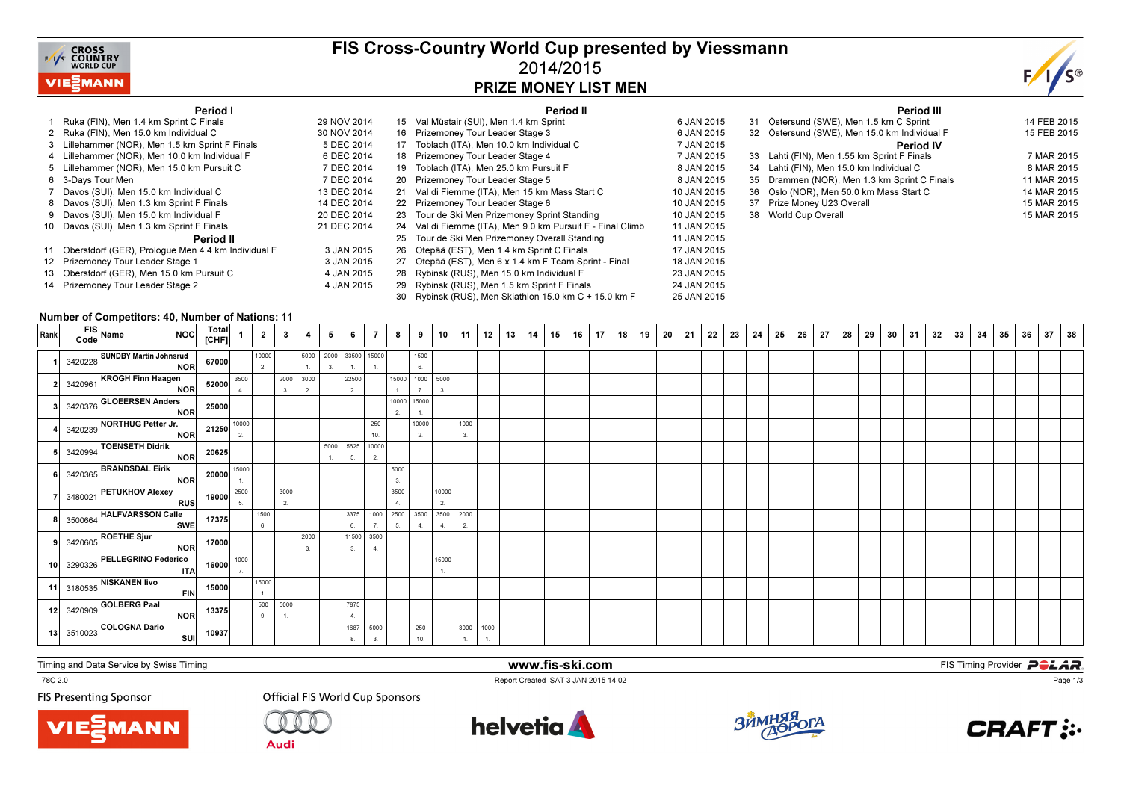

## FIS Cross-Country World Cup presented by Viessmann2014/2015PRIZE MONEY LIST MEN



#### Period I

| Period I                                              |             | Period II                                                  |             | Period III                                   |             |
|-------------------------------------------------------|-------------|------------------------------------------------------------|-------------|----------------------------------------------|-------------|
| Ruka (FIN), Men 1.4 km Sprint C Finals                | 29 NOV 2014 | 15 Val Müstair (SUI), Men 1.4 km Sprint                    | 6 JAN 2015  | 31 Östersund (SWE), Men 1.5 km C Sprint      | 14 FEB 2015 |
| 2 Ruka (FIN), Men 15.0 km Individual C                | 30 NOV 2014 | 16 Prizemoney Tour Leader Stage 3                          | 6 JAN 2015  | 32 Östersund (SWE), Men 15.0 km Individual F | 15 FEB 2015 |
| 3 Lillehammer (NOR), Men 1.5 km Sprint F Finals       | 5 DEC 2014  | 17 Toblach (ITA), Men 10.0 km Individual C                 | 7 JAN 2015  | <b>Period IV</b>                             |             |
| 4 Lillehammer (NOR), Men 10.0 km Individual F         | 6 DEC 2014  | 18 Prizemoney Tour Leader Stage 4                          | 7 JAN 2015  | 33 Lahti (FIN), Men 1.55 km Sprint F Finals  | 7 MAR 2015  |
| 5 Lillehammer (NOR), Men 15.0 km Pursuit C            | 7 DEC 2014  | 19 Toblach (ITA), Men 25.0 km Pursuit F                    | 8 JAN 2015  | 34 Lahti (FIN), Men 15.0 km Individual C     | 8 MAR 2015  |
| 6 3-Days Tour Men                                     | 7 DEC 2014  | 20 Prizemoney Tour Leader Stage 5                          | 8 JAN 2015  | 35 Drammen (NOR), Men 1.3 km Sprint C Finals | 11 MAR 2015 |
| 7 Davos (SUI), Men 15.0 km Individual C               | 13 DEC 2014 | 21 Val di Fiemme (ITA), Men 15 km Mass Start C             | 10 JAN 2015 | 36 Oslo (NOR), Men 50.0 km Mass Start C      | 14 MAR 2015 |
| 8 Davos (SUI), Men 1.3 km Sprint F Finals             | 14 DEC 2014 | 22 Prizemoney Tour Leader Stage 6                          | 10 JAN 2015 | 37 Prize Money U23 Overall                   | 15 MAR 2015 |
| 9 Davos (SUI), Men 15.0 km Individual F               | 20 DEC 2014 | 23 Tour de Ski Men Prizemoney Sprint Standing              | 10 JAN 2015 | 38 World Cup Overall                         | 15 MAR 2015 |
| 10 Davos (SUI), Men 1.3 km Sprint F Finals            | 21 DEC 2014 | 24 Val di Fiemme (ITA), Men 9.0 km Pursuit F - Final Climb | 11 JAN 2015 |                                              |             |
| Period II                                             |             | 25 Tour de Ski Men Prizemoney Overall Standing             | 11 JAN 2015 |                                              |             |
| 11 Oberstdorf (GER), Prologue Men 4.4 km Individual F | 3 JAN 2015  | 26 Otepää (EST), Men 1.4 km Sprint C Finals                | 17 JAN 2015 |                                              |             |
| 12 Prizemoney Tour Leader Stage 1                     | 3 JAN 2015  | 27 Otepää (EST), Men 6 x 1.4 km F Team Sprint - Final      | 18 JAN 2015 |                                              |             |
| 13 Oberstdorf (GER), Men 15.0 km Pursuit C            | 4 JAN 2015  | 28 Rybinsk (RUS), Men 15.0 km Individual F                 | 23 JAN 2015 |                                              |             |
| 14 Prizemoney Tour Leader Stage 2                     | 4 JAN 2015  | 29 Rybinsk (RUS), Men 1.5 km Sprint F Finals               | 24 JAN 2015 |                                              |             |
|                                                       |             | 30 Rybinsk (RUS), Men Skiathlon 15.0 km C + 15.0 km F      | 25 JAN 2015 |                                              |             |

#### Number of Competitors: 40, Number of Nations: 11

| Rank | FIS Name NOC Total                                                                                                                                                                                             |           | $\overline{1}$ |                |                          |                       | 5 <sub>1</sub> | 6                | $\overline{7}$ | 8 <sup>1</sup>           | 9                      |                                | $10$   11  | 12 | 13 | 14 | 15 | $16$   17 | 18 19 | 20 | 21 | 22 | 23 | 24 | 25 | 26 | 27 | 28 | 29 | 30 31 | 32 | 33 | 34 | 35 | 36 | 37 | 38 |
|------|----------------------------------------------------------------------------------------------------------------------------------------------------------------------------------------------------------------|-----------|----------------|----------------|--------------------------|-----------------------|----------------|------------------|----------------|--------------------------|------------------------|--------------------------------|------------|----|----|----|----|-----------|-------|----|----|----|----|----|----|----|----|----|----|-------|----|----|----|----|----|----|----|
|      | THE 3420228 SUNDBY Martin Johnsrud<br>NOR 67000                                                                                                                                                                |           |                | 10000<br>2.    |                          | 5000 2000 33500 15000 | 3.             |                  |                |                          | 1500<br>6.             |                                |            |    |    |    |    |           |       |    |    |    |    |    |    |    |    |    |    |       |    |    |    |    |    |    |    |
|      |                                                                                                                                                                                                                |           |                |                | 2000 3000                |                       |                | 22500            |                |                          | 15000 1000 5000        |                                |            |    |    |    |    |           |       |    |    |    |    |    |    |    |    |    |    |       |    |    |    |    |    |    |    |
|      | 3420961 KROGH Finn Haagen<br>NOR 52000 4                                                                                                                                                                       |           |                |                | 3.                       | 2.                    |                | 2.               |                | 1.                       | 7.                     |                                |            |    |    |    |    |           |       |    |    |    |    |    |    |    |    |    |    |       |    |    |    |    |    |    |    |
|      | 3420376<br>3420239<br>NORTHUG Petter Jr.<br>3420239<br>TOENSETH Didrik<br>3420994<br>DEANDSDAL First NORTH 20625                                                                                               |           |                |                |                          |                       |                |                  |                | 2.                       | 10000 15000            |                                |            |    |    |    |    |           |       |    |    |    |    |    |    |    |    |    |    |       |    |    |    |    |    |    |    |
|      |                                                                                                                                                                                                                |           |                |                |                          |                       |                |                  | 250<br>10.     |                          | 10000<br>2.            |                                | 1000<br>3. |    |    |    |    |           |       |    |    |    |    |    |    |    |    |    |    |       |    |    |    |    |    |    |    |
|      |                                                                                                                                                                                                                |           |                |                |                          |                       | 5000 5625      | 5.               | 10000<br>2.    |                          |                        |                                |            |    |    |    |    |           |       |    |    |    |    |    |    |    |    |    |    |       |    |    |    |    |    |    |    |
|      | $\begin{array}{ c c c c }\n\hline\n & 3420365 & \textbf{BRANDSDAL Eirik} & & & 20000 & \frac{15000}{1} \\ \hline\n & 3480021 & \textbf{PETUKHOV Alexey} & & & & 19000 & \frac{2500}{5} \\ \hline\n\end{array}$ |           |                |                |                          |                       |                |                  |                | 5000<br>3.               |                        |                                |            |    |    |    |    |           |       |    |    |    |    |    |    |    |    |    |    |       |    |    |    |    |    |    |    |
|      |                                                                                                                                                                                                                |           |                |                | 3000<br>$\overline{2}$ . |                       |                |                  |                | 3500<br>$\overline{4}$ . |                        | 10000<br>2.                    |            |    |    |    |    |           |       |    |    |    |    |    |    |    |    |    |    |       |    |    |    |    |    |    |    |
|      |                                                                                                                                                                                                                |           |                | 1500<br>6.     |                          |                       |                | 3375<br>6.       |                | 5.                       | 4.                     | 1000 2500 3500 3500 2000<br>4. | 2.         |    |    |    |    |           |       |    |    |    |    |    |    |    |    |    |    |       |    |    |    |    |    |    |    |
|      | 3500664 HALFVARSSON Calle<br>SWE 17375<br>3420605 ROETHE Sjur<br>NOR 17000                                                                                                                                     |           |                |                |                          | 2000<br>3.            |                | 11500 3500<br>3. | 4.             |                          |                        |                                |            |    |    |    |    |           |       |    |    |    |    |    |    |    |    |    |    |       |    |    |    |    |    |    |    |
|      |                                                                                                                                                                                                                |           |                |                |                          |                       |                |                  |                |                          |                        | 15000<br>1.                    |            |    |    |    |    |           |       |    |    |    |    |    |    |    |    |    |    |       |    |    |    |    |    |    |    |
|      |                                                                                                                                                                                                                |           |                | 15000<br>1.    |                          |                       |                |                  |                |                          |                        |                                |            |    |    |    |    |           |       |    |    |    |    |    |    |    |    |    |    |       |    |    |    |    |    |    |    |
|      | 10 3290326 PELLEGRINO Federico 16000 1000<br>17 3180535 NISKANEN IIvo ITA 16000 17<br>12 3420909 GOLBERG Paal NOR 13375                                                                                        |           |                | 500 5000<br>9. | $\mathbf{1}$             |                       |                | 7875<br>4.       |                |                          |                        |                                |            |    |    |    |    |           |       |    |    |    |    |    |    |    |    |    |    |       |    |    |    |    |    |    |    |
|      | 13 3510023 COLOGNA Dario                                                                                                                                                                                       | SUI 10937 |                |                |                          |                       |                | 1687             | 5000           |                          | 250<br>10 <sup>1</sup> |                                | 3000 1000  |    |    |    |    |           |       |    |    |    |    |    |    |    |    |    |    |       |    |    |    |    |    |    |    |

www.fis-ski.com

Report Created SAT 3 JAN 2015 14:02

Timing and Data Service by Swiss Timing

MANN

\_78C 2.0

**FIS Presenting Sponsor** 



**Audi** 





**m**<br>FIS Timing Provider<br>F<sup>14:02</sup>



Page 1/3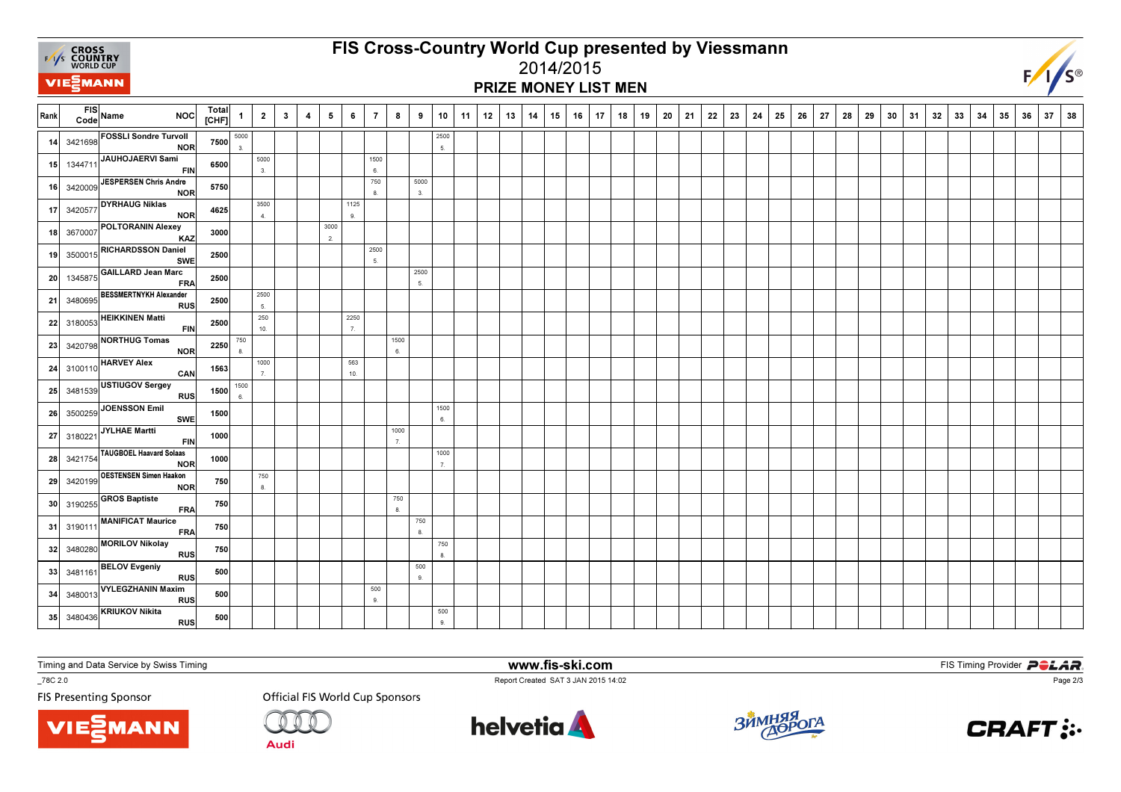

# FIS Cross-Country World Cup presented by Viessmann2014/2015

### PRIZE MONEY LIST MEN



| Rank            |            | FIS Name<br><b>NOC</b>                                                                            | Total<br>[CHF] | $\mathbf{1}$ | $\overline{2}$ | $\mathbf{3}$ | $\overline{4}$ | 5          | 6                      | $\overline{7}$ | 8          | 9            | 10         | 11 | 12 | 13 | 14 | 15 | 16 | 17 | 18 | 19 | 20 | 21 | 22 | 23 | 24 | 25 | 26 | 27 | 28 | 29 | 30 | 31 | 32 | 33 | 34 | 35 | 36 | 37 | 38 |
|-----------------|------------|---------------------------------------------------------------------------------------------------|----------------|--------------|----------------|--------------|----------------|------------|------------------------|----------------|------------|--------------|------------|----|----|----|----|----|----|----|----|----|----|----|----|----|----|----|----|----|----|----|----|----|----|----|----|----|----|----|----|
| 14              |            | 3421698 FOSSLI Sondre Turvoll<br>NOR                                                              | 7500           | 5000<br>3.   |                |              |                |            |                        |                |            |              | 2500<br>5. |    |    |    |    |    |    |    |    |    |    |    |    |    |    |    |    |    |    |    |    |    |    |    |    |    |    |    |    |
| 15              |            | 1344711 JAUHOJAERVI Sami<br><b>FIN</b>                                                            | 6500           |              | 5000<br>3.     |              |                |            |                        | 1500<br>6.     |            |              |            |    |    |    |    |    |    |    |    |    |    |    |    |    |    |    |    |    |    |    |    |    |    |    |    |    |    |    |    |
| 16              | 3420009    | JESPERSEN Chris Andre<br><b>NOR</b>                                                               | 5750           |              |                |              |                |            |                        | 750<br>8.      |            | 5000<br>3.   |            |    |    |    |    |    |    |    |    |    |    |    |    |    |    |    |    |    |    |    |    |    |    |    |    |    |    |    |    |
| 17              |            | 3420577 DYRHAUG Niklas<br><b>NOR</b>                                                              | 4625           |              | 3500<br>4.     |              |                |            | 1125<br>9.             |                |            |              |            |    |    |    |    |    |    |    |    |    |    |    |    |    |    |    |    |    |    |    |    |    |    |    |    |    |    |    |    |
| 18              |            | 3670007 POLTORANIN Alexey<br>KAZ                                                                  | 3000           |              |                |              |                | 3000<br>2. |                        |                |            |              |            |    |    |    |    |    |    |    |    |    |    |    |    |    |    |    |    |    |    |    |    |    |    |    |    |    |    |    |    |
| 19              | 3500015    | <b>RICHARDSSON Daniel</b><br><b>SWE</b>                                                           | 2500           |              |                |              |                |            |                        | 2500<br>5.     |            |              |            |    |    |    |    |    |    |    |    |    |    |    |    |    |    |    |    |    |    |    |    |    |    |    |    |    |    |    |    |
| 20 <sup>1</sup> |            | 1345875 GAILLARD Jean Marc<br><b>FRA</b>                                                          | 2500           |              |                |              |                |            |                        |                |            | 2500<br>5.   |            |    |    |    |    |    |    |    |    |    |    |    |    |    |    |    |    |    |    |    |    |    |    |    |    |    |    |    |    |
| 21              |            | 3480695 BESSMERTNYKH Alexander<br><b>RUS</b>                                                      | 2500           |              | 2500<br>5.     |              |                |            |                        |                |            |              |            |    |    |    |    |    |    |    |    |    |    |    |    |    |    |    |    |    |    |    |    |    |    |    |    |    |    |    |    |
| 22              | 3180053    | <b>HEIKKINEN Matti</b><br><b>FIN</b>                                                              | 2500           |              | 250<br>10.     |              |                |            | 2250<br>$\overline{7}$ |                |            |              |            |    |    |    |    |    |    |    |    |    |    |    |    |    |    |    |    |    |    |    |    |    |    |    |    |    |    |    |    |
| 23              | 3420798    | NORTHUG Tomas<br>NOR<br><b>HARVEY Alex</b>                                                        | 2250           | 750<br>8.    | 1000           |              |                |            | 563                    |                | 1500<br>6. |              |            |    |    |    |    |    |    |    |    |    |    |    |    |    |    |    |    |    |    |    |    |    |    |    |    |    |    |    |    |
|                 | 24 3100110 | CAN                                                                                               | 1563           | 1500         | 7.             |              |                |            | 10.                    |                |            |              |            |    |    |    |    |    |    |    |    |    |    |    |    |    |    |    |    |    |    |    |    |    |    |    |    |    |    |    |    |
| 25              |            | 3481539 USTIUGOV Sergey<br><b>RUS</b>                                                             | 1500           | 6.           |                |              |                |            |                        |                |            |              | 1500       |    |    |    |    |    |    |    |    |    |    |    |    |    |    |    |    |    |    |    |    |    |    |    |    |    |    |    |    |
| 26              |            | 3500259 JOENSSON Emil<br>SWE<br>3180221 JYLHAE Martti                                             | 1500           |              |                |              |                |            |                        |                | 1000       |              | 6.         |    |    |    |    |    |    |    |    |    |    |    |    |    |    |    |    |    |    |    |    |    |    |    |    |    |    |    |    |
| 27              |            | <b>FIN</b><br>TAUGBOEL Haavard Solaas                                                             | 1000           |              |                |              |                |            |                        |                | 7.         |              | 1000       |    |    |    |    |    |    |    |    |    |    |    |    |    |    |    |    |    |    |    |    |    |    |    |    |    |    |    |    |
| 28              | 3421754    | <b>NOR</b><br>3420199 OESTENSEN Simen Haakon                                                      | 1000           |              | 750            |              |                |            |                        |                |            |              | 7.         |    |    |    |    |    |    |    |    |    |    |    |    |    |    |    |    |    |    |    |    |    |    |    |    |    |    |    |    |
| 29              |            | <b>NOR</b>                                                                                        | 750            |              | 8.             |              |                |            |                        |                | 750        |              |            |    |    |    |    |    |    |    |    |    |    |    |    |    |    |    |    |    |    |    |    |    |    |    |    |    |    |    |    |
|                 |            | $30\Big  3190255\overline{\Big  \text{GROS Baptiste}}$<br><b>FRA</b><br>3190111 MANIFICAT Maurice | 750            |              |                |              |                |            |                        |                | 8.         | 750          |            |    |    |    |    |    |    |    |    |    |    |    |    |    |    |    |    |    |    |    |    |    |    |    |    |    |    |    |    |
| 31              |            | FRA<br>3480280 MORILOV Nikolay                                                                    | 750            |              |                |              |                |            |                        |                |            | $\mathbf{a}$ | 750        |    |    |    |    |    |    |    |    |    |    |    |    |    |    |    |    |    |    |    |    |    |    |    |    |    |    |    |    |
| 32              |            | RUS<br>3481161 BELOV Evgeniy                                                                      | 750            |              |                |              |                |            |                        |                |            | 500          | 8.         |    |    |    |    |    |    |    |    |    |    |    |    |    |    |    |    |    |    |    |    |    |    |    |    |    |    |    |    |
| 33              |            | <b>RUS</b><br>3480013 VYLEGZHANIN Maxim                                                           | 500            |              |                |              |                |            |                        | 500            |            | 9.           |            |    |    |    |    |    |    |    |    |    |    |    |    |    |    |    |    |    |    |    |    |    |    |    |    |    |    |    |    |
| 34              |            | <b>RUS</b>                                                                                        | 500            |              |                |              |                |            |                        | 9.             |            |              | 500        |    |    |    |    |    |    |    |    |    |    |    |    |    |    |    |    |    |    |    |    |    |    |    |    |    |    |    |    |
| 35              |            | 3480436 KRIUKOV Nikita<br>RUS                                                                     | 500            |              |                |              |                |            |                        |                |            |              | 9.         |    |    |    |    |    |    |    |    |    |    |    |    |    |    |    |    |    |    |    |    |    |    |    |    |    |    |    |    |

Timing and Data Service by Swiss Timing

**VIEZMANN** 

\_78C 2.0

**FIS Presenting Sponsor** 



**Audi** 



www.fis-ski.com

Report Created SAT 3 JAN 2015 14:02



**m**<br>FIS Timing Provider<br>F<sup>14:02</sup>



Page 2/3